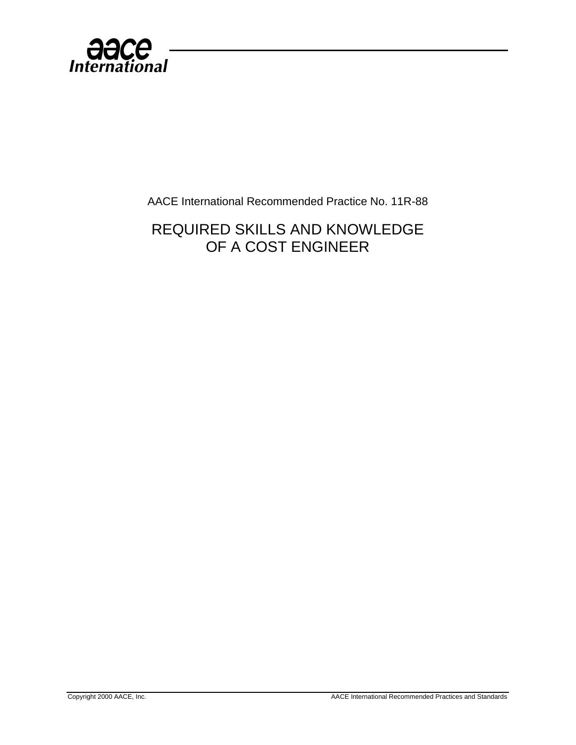

AACE International Recommended Practice No. 11R-88

REQUIRED SKILLS AND KNOWLEDGE OF A COST ENGINEER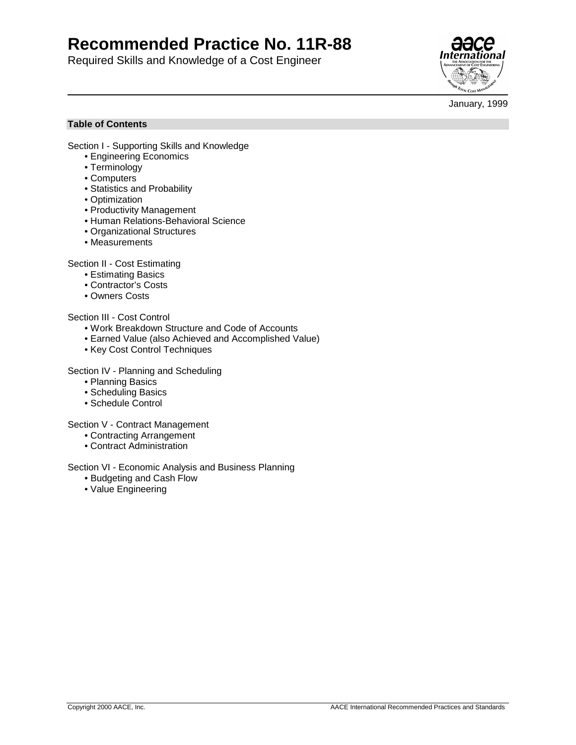# **Recommended Practice No. 11R-88**

Required Skills and Knowledge of a Cost Engineer



January, 1999

## **Table of Contents**

Section I - Supporting Skills and Knowledge

- Engineering Economics
- Terminology
- Computers
- Statistics and Probability
- Optimization
- Productivity Management
- Human Relations-Behavioral Science
- Organizational Structures
- Measurements

Section II - Cost Estimating

- Estimating Basics
- Contractor's Costs
- Owners Costs

## Section III - Cost Control

- Work Breakdown Structure and Code of Accounts
- Earned Value (also Achieved and Accomplished Value)
- Key Cost Control Techniques

Section IV - Planning and Scheduling

- Planning Basics
- Scheduling Basics
- Schedule Control

Section V - Contract Management

- Contracting Arrangement
- Contract Administration

#### Section VI - Economic Analysis and Business Planning

- Budgeting and Cash Flow
- Value Engineering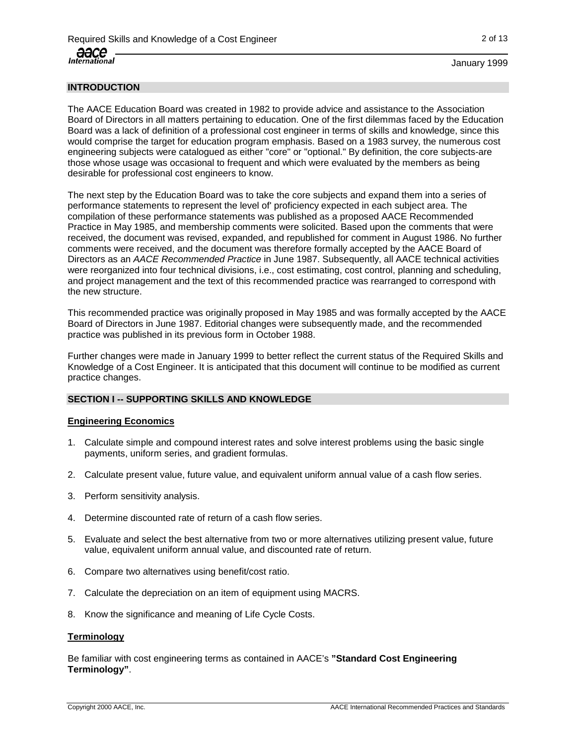# **INTRODUCTION**

The AACE Education Board was created in 1982 to provide advice and assistance to the Association Board of Directors in all matters pertaining to education. One of the first dilemmas faced by the Education Board was a lack of definition of a professional cost engineer in terms of skills and knowledge, since this would comprise the target for education program emphasis. Based on a 1983 survey, the numerous cost engineering subjects were catalogued as either "core" or "optional." By definition, the core subjects-are those whose usage was occasional to frequent and which were evaluated by the members as being desirable for professional cost engineers to know.

The next step by the Education Board was to take the core subjects and expand them into a series of performance statements to represent the level of' proficiency expected in each subject area. The compilation of these performance statements was published as a proposed AACE Recommended Practice in May 1985, and membership comments were solicited. Based upon the comments that were received, the document was revised, expanded, and republished for comment in August 1986. No further comments were received, and the document was therefore formally accepted by the AACE Board of Directors as an AACE Recommended Practice in June 1987. Subsequently, all AACE technical activities were reorganized into four technical divisions, i.e., cost estimating, cost control, planning and scheduling, and project management and the text of this recommended practice was rearranged to correspond with the new structure.

This recommended practice was originally proposed in May 1985 and was formally accepted by the AACE Board of Directors in June 1987. Editorial changes were subsequently made, and the recommended practice was published in its previous form in October 1988.

Further changes were made in January 1999 to better reflect the current status of the Required Skills and Knowledge of a Cost Engineer. It is anticipated that this document will continue to be modified as current practice changes.

## **SECTION I -- SUPPORTING SKILLS AND KNOWLEDGE**

#### **Engineering Economics**

- 1. Calculate simple and compound interest rates and solve interest problems using the basic single payments, uniform series, and gradient formulas.
- 2. Calculate present value, future value, and equivalent uniform annual value of a cash flow series.
- 3. Perform sensitivity analysis.
- 4. Determine discounted rate of return of a cash flow series.
- 5. Evaluate and select the best alternative from two or more alternatives utilizing present value, future value, equivalent uniform annual value, and discounted rate of return.
- 6. Compare two alternatives using benefit/cost ratio.
- 7. Calculate the depreciation on an item of equipment using MACRS.
- 8. Know the significance and meaning of Life Cycle Costs.

#### **Terminology**

Be familiar with cost engineering terms as contained in AACE's **"Standard Cost Engineering Terminology"**.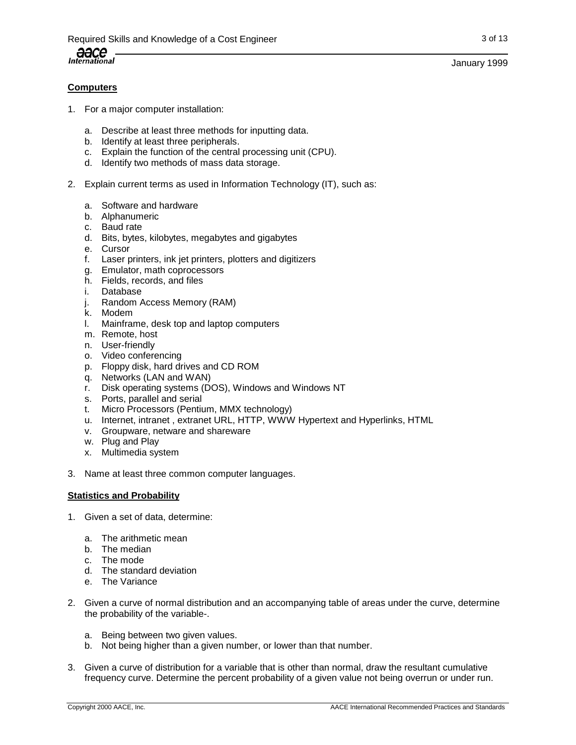January 1999

# **Computers**

- 1. For a major computer installation:
	- a. Describe at least three methods for inputting data.
	- b. Identify at least three peripherals.
	- c. Explain the function of the central processing unit (CPU).
	- d. Identify two methods of mass data storage.
- 2. Explain current terms as used in Information Technology (IT), such as:
	- a. Software and hardware
	- b. Alphanumeric
	- c. Baud rate
	- d. Bits, bytes, kilobytes, megabytes and gigabytes
	- e. Cursor
	- f. Laser printers, ink jet printers, plotters and digitizers
	- g. Emulator, math coprocessors
	- h. Fields, records, and files
	- i. Database
	- j. Random Access Memory (RAM)
	- k. Modem
	- l. Mainframe, desk top and laptop computers
	- m. Remote, host
	- n. User-friendly
	- o. Video conferencing
	- p. Floppy disk, hard drives and CD ROM
	- q. Networks (LAN and WAN)
	- r. Disk operating systems (DOS), Windows and Windows NT
	- s. Ports, parallel and serial
	- t. Micro Processors (Pentium, MMX technology)
	- u. Internet, intranet , extranet URL, HTTP, WWW Hypertext and Hyperlinks, HTML
	- v. Groupware, netware and shareware
	- w. Plug and Play
	- x. Multimedia system
- 3. Name at least three common computer languages.

#### **Statistics and Probability**

- 1. Given a set of data, determine:
	- a. The arithmetic mean
	- b. The median
	- c. The mode
	- d. The standard deviation
	- e. The Variance
- 2. Given a curve of normal distribution and an accompanying table of areas under the curve, determine the probability of the variable-.
	- a. Being between two given values.
	- b. Not being higher than a given number, or lower than that number.
- 3. Given a curve of distribution for a variable that is other than normal, draw the resultant cumulative frequency curve. Determine the percent probability of a given value not being overrun or under run.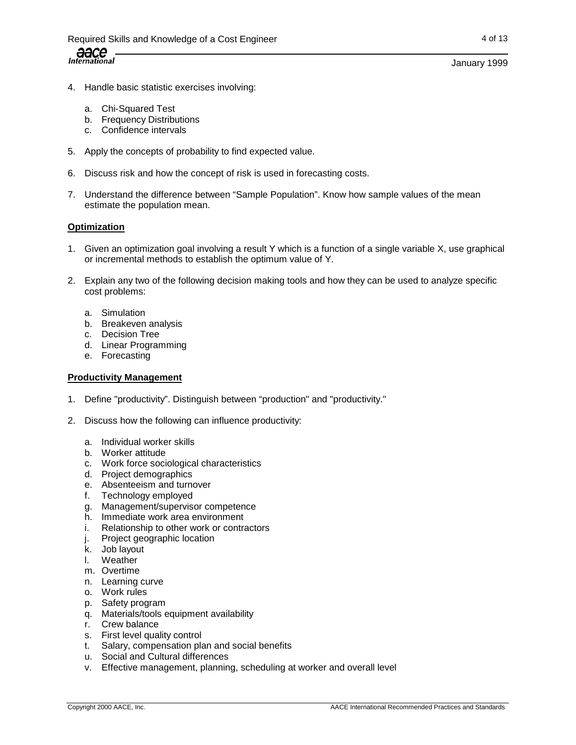## January 1999

- 4. Handle basic statistic exercises involving:
	- a. Chi-Squared Test
	- b. Frequency Distributions
	- c. Confidence intervals
- 5. Apply the concepts of probability to find expected value.
- 6. Discuss risk and how the concept of risk is used in forecasting costs.
- 7. Understand the difference between "Sample Population". Know how sample values of the mean estimate the population mean.

## **Optimization**

- 1. Given an optimization goal involving a result Y which is a function of a single variable X, use graphical or incremental methods to establish the optimum value of Y.
- 2. Explain any two of the following decision making tools and how they can be used to analyze specific cost problems:
	- a. Simulation
	- b. Breakeven analysis
	- c. Decision Tree
	- d. Linear Programming
	- e. Forecasting

## **Productivity Management**

- 1. Define "productivity". Distinguish between "production" and "productivity."
- 2. Discuss how the following can influence productivity:
	- a. Individual worker skills
	- b. Worker attitude
	- c. Work force sociological characteristics
	- d. Project demographics
	- e. Absenteeism and turnover
	- f. Technology employed
	- g. Management/supervisor competence
	- h. Immediate work area environment
	- i. Relationship to other work or contractors
	- j. Project geographic location
	- k. Job layout
	- l. Weather
	- m. Overtime
	- n. Learning curve
	- o. Work rules
	- p. Safety program
	- q. Materials/tools equipment availability
	- r. Crew balance
	- s. First level quality control
	- t. Salary, compensation plan and social benefits
	- u. Social and Cultural differences
	- v. Effective management, planning, scheduling at worker and overall level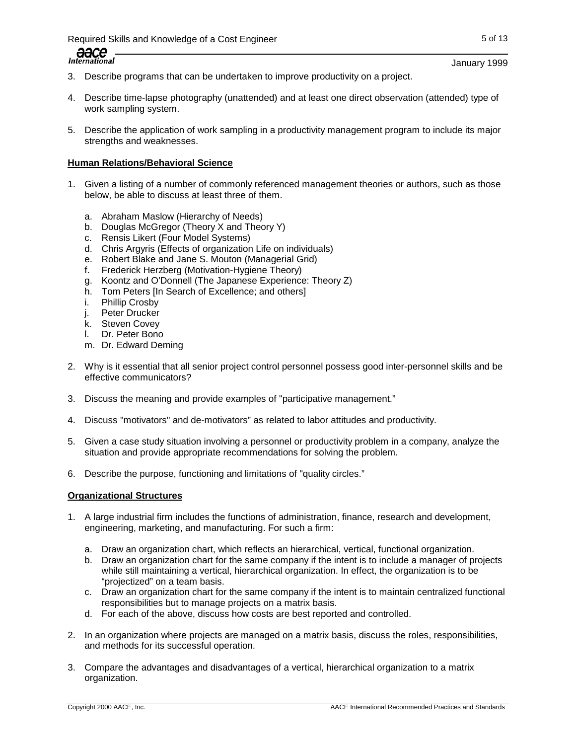# Required Skills and Knowledge of a Cost Engineer 5 of 13 and 5 of 13



- 3. Describe programs that can be undertaken to improve productivity on a project.
- 4. Describe time-lapse photography (unattended) and at least one direct observation (attended) type of work sampling system.
- 5. Describe the application of work sampling in a productivity management program to include its major strengths and weaknesses.

## **Human Relations/Behavioral Science**

- 1. Given a listing of a number of commonly referenced management theories or authors, such as those below, be able to discuss at least three of them.
	- a. Abraham Maslow (Hierarchy of Needs)
	- b. Douglas McGregor (Theory X and Theory Y)
	- c. Rensis Likert (Four Model Systems)
	- d. Chris Argyris (Effects of organization Life on individuals)
	- e. Robert Blake and Jane S. Mouton (Managerial Grid)
	- f. Frederick Herzberg (Motivation-Hygiene Theory)
	- g. Koontz and O'Donnell (The Japanese Experience: Theory Z)
	- h. Tom Peters [In Search of Excellence; and others]
	- i. Phillip Crosby
	- j. Peter Drucker
	- k. Steven Covey
	- l. Dr. Peter Bono
	- m. Dr. Edward Deming
- 2. Why is it essential that all senior project control personnel possess good inter-personnel skills and be effective communicators?
- 3. Discuss the meaning and provide examples of "participative management."
- 4. Discuss "motivators" and de-motivators" as related to labor attitudes and productivity.
- 5. Given a case study situation involving a personnel or productivity problem in a company, analyze the situation and provide appropriate recommendations for solving the problem.
- 6. Describe the purpose, functioning and limitations of "quality circles."

#### **Organizational Structures**

- 1. A large industrial firm includes the functions of administration, finance, research and development, engineering, marketing, and manufacturing. For such a firm:
	- a. Draw an organization chart, which reflects an hierarchical, vertical, functional organization.
	- b. Draw an organization chart for the same company if the intent is to include a manager of projects while still maintaining a vertical, hierarchical organization. In effect, the organization is to be "projectized" on a team basis.
	- c. Draw an organization chart for the same company if the intent is to maintain centralized functional responsibilities but to manage projects on a matrix basis.
	- d. For each of the above, discuss how costs are best reported and controlled.
- 2. In an organization where projects are managed on a matrix basis, discuss the roles, responsibilities, and methods for its successful operation.
- 3. Compare the advantages and disadvantages of a vertical, hierarchical organization to a matrix organization.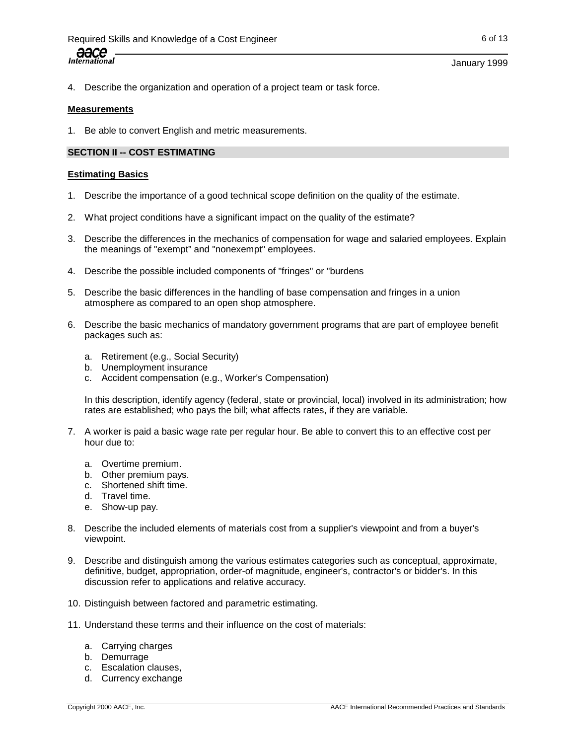#### January 1999

4. Describe the organization and operation of a project team or task force.

## **Measurements**

1. Be able to convert English and metric measurements.

## **SECTION II -- COST ESTIMATING**

## **Estimating Basics**

- 1. Describe the importance of a good technical scope definition on the quality of the estimate.
- 2. What project conditions have a significant impact on the quality of the estimate?
- 3. Describe the differences in the mechanics of compensation for wage and salaried employees. Explain the meanings of "exempt" and "nonexempt" employees.
- 4. Describe the possible included components of "fringes" or "burdens
- 5. Describe the basic differences in the handling of base compensation and fringes in a union atmosphere as compared to an open shop atmosphere.
- 6. Describe the basic mechanics of mandatory government programs that are part of employee benefit packages such as:
	- a. Retirement (e.g., Social Security)
	- b. Unemployment insurance
	- c. Accident compensation (e.g., Worker's Compensation)

In this description, identify agency (federal, state or provincial, local) involved in its administration; how rates are established; who pays the bill; what affects rates, if they are variable.

- 7. A worker is paid a basic wage rate per regular hour. Be able to convert this to an effective cost per hour due to:
	- a. Overtime premium.
	- b. Other premium pays.
	- c. Shortened shift time.
	- d. Travel time.
	- e. Show-up pay.
- 8. Describe the included elements of materials cost from a supplier's viewpoint and from a buyer's viewpoint.
- 9. Describe and distinguish among the various estimates categories such as conceptual, approximate, definitive, budget, appropriation, order-of magnitude, engineer's, contractor's or bidder's. In this discussion refer to applications and relative accuracy.
- 10. Distinguish between factored and parametric estimating.
- 11. Understand these terms and their influence on the cost of materials:
	- a. Carrying charges
	- b. Demurrage
	- c. Escalation clauses,
	- d. Currency exchange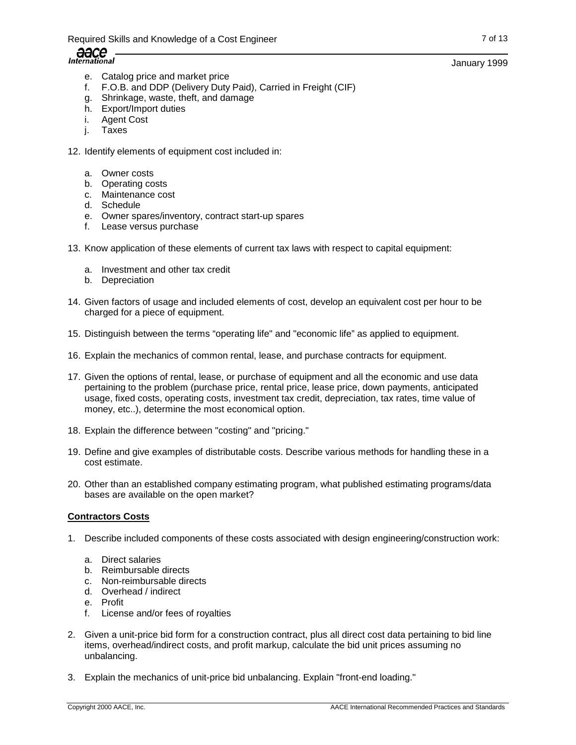- e. Catalog price and market price
- f. F.O.B. and DDP (Delivery Duty Paid), Carried in Freight (CIF)
- g. Shrinkage, waste, theft, and damage
- h. Export/Import duties
- i. Agent Cost
- j. Taxes
- 12. Identify elements of equipment cost included in:
	- a. Owner costs
	- b. Operating costs
	- c. Maintenance cost
	- d. Schedule
	- e. Owner spares/inventory, contract start-up spares
	- f. Lease versus purchase
- 13. Know application of these elements of current tax laws with respect to capital equipment:
	- a. Investment and other tax credit
	- b. Depreciation
- 14. Given factors of usage and included elements of cost, develop an equivalent cost per hour to be charged for a piece of equipment.
- 15. Distinguish between the terms "operating life" and "economic life" as applied to equipment.
- 16. Explain the mechanics of common rental, lease, and purchase contracts for equipment.
- 17. Given the options of rental, lease, or purchase of equipment and all the economic and use data pertaining to the problem (purchase price, rental price, lease price, down payments, anticipated usage, fixed costs, operating costs, investment tax credit, depreciation, tax rates, time value of money, etc..), determine the most economical option.
- 18. Explain the difference between "costing" and "pricing."
- 19. Define and give examples of distributable costs. Describe various methods for handling these in a cost estimate.
- 20. Other than an established company estimating program, what published estimating programs/data bases are available on the open market?

#### **Contractors Costs**

- 1. Describe included components of these costs associated with design engineering/construction work:
	- a. Direct salaries
	- b. Reimbursable directs
	- c. Non-reimbursable directs
	- d. Overhead / indirect
	- e. Profit
	- f. License and/or fees of royalties
- 2. Given a unit-price bid form for a construction contract, plus all direct cost data pertaining to bid line items, overhead/indirect costs, and profit markup, calculate the bid unit prices assuming no unbalancing.
- 3. Explain the mechanics of unit-price bid unbalancing. Explain "front-end loading."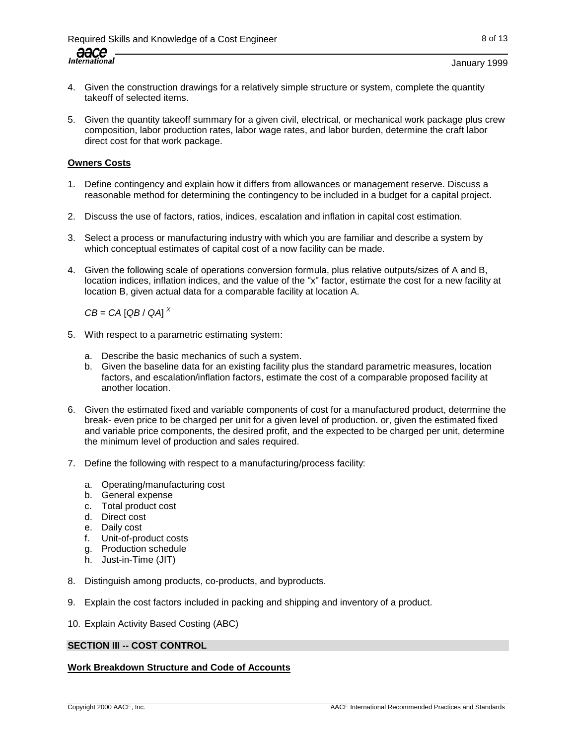## January 1999

- 4. Given the construction drawings for a relatively simple structure or system, complete the quantity takeoff of selected items.
- 5. Given the quantity takeoff summary for a given civil, electrical, or mechanical work package plus crew composition, labor production rates, labor wage rates, and labor burden, determine the craft labor direct cost for that work package.

## **Owners Costs**

- 1. Define contingency and explain how it differs from allowances or management reserve. Discuss a reasonable method for determining the contingency to be included in a budget for a capital project.
- 2. Discuss the use of factors, ratios, indices, escalation and inflation in capital cost estimation.
- 3. Select a process or manufacturing industry with which you are familiar and describe a system by which conceptual estimates of capital cost of a now facility can be made.
- 4. Given the following scale of operations conversion formula, plus relative outputs/sizes of A and B, location indices, inflation indices, and the value of the "x" factor, estimate the cost for a new facility at location B, given actual data for a comparable facility at location A.

 $CB = CA$  [QB / QA]<sup> $X$ </sup>

- 5. With respect to a parametric estimating system:
	- a. Describe the basic mechanics of such a system.
	- b. Given the baseline data for an existing facility plus the standard parametric measures, location factors, and escalation/inflation factors, estimate the cost of a comparable proposed facility at another location.
- 6. Given the estimated fixed and variable components of cost for a manufactured product, determine the break- even price to be charged per unit for a given level of production. or, given the estimated fixed and variable price components, the desired profit, and the expected to be charged per unit, determine the minimum level of production and sales required.
- 7. Define the following with respect to a manufacturing/process facility:
	- a. Operating/manufacturing cost
	- b. General expense
	- c. Total product cost
	- d. Direct cost
	- e. Daily cost
	- f. Unit-of-product costs
	- g. Production schedule
	- h. Just-in-Time (JIT)
- 8. Distinguish among products, co-products, and byproducts.
- 9. Explain the cost factors included in packing and shipping and inventory of a product.
- 10. Explain Activity Based Costing (ABC)

#### **SECTION III -- COST CONTROL**

# **Work Breakdown Structure and Code of Accounts**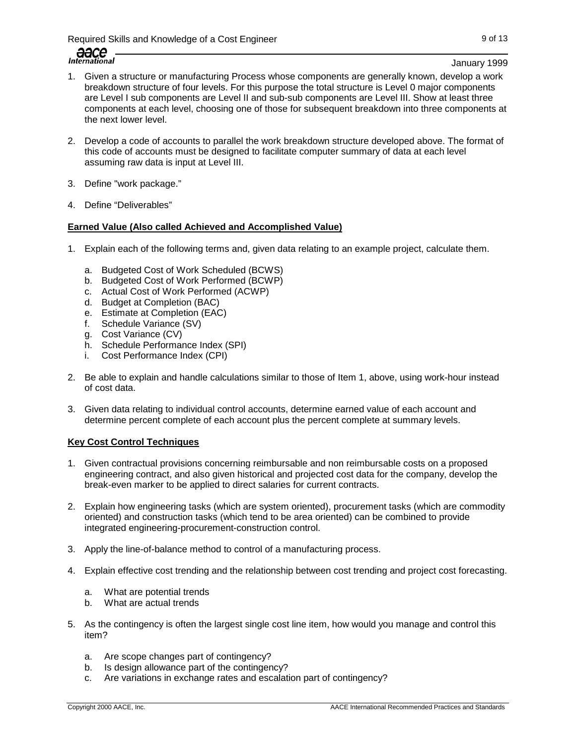Required Skills and Knowledge of a Cost Engineer 9 of 13

January 1999

- 1. Given a structure or manufacturing Process whose components are generally known, develop a work breakdown structure of four levels. For this purpose the total structure is Level 0 major components are Level I sub components are Level II and sub-sub components are Level III. Show at least three components at each level, choosing one of those for subsequent breakdown into three components at the next lower level.
- 2. Develop a code of accounts to parallel the work breakdown structure developed above. The format of this code of accounts must be designed to facilitate computer summary of data at each level assuming raw data is input at Level III.
- 3. Define "work package."
- 4. Define "Deliverables"

# **Earned Value (Also called Achieved and Accomplished Value)**

- 1. Explain each of the following terms and, given data relating to an example project, calculate them.
	- a. Budgeted Cost of Work Scheduled (BCWS)
	- b. Budgeted Cost of Work Performed (BCWP)
	- c. Actual Cost of Work Performed (ACWP)
	- d. Budget at Completion (BAC)
	- e. Estimate at Completion (EAC)
	- f. Schedule Variance (SV)
	- g. Cost Variance (CV)
	- h. Schedule Performance Index (SPI)
	- i. Cost Performance Index (CPI)
- 2. Be able to explain and handle calculations similar to those of Item 1, above, using work-hour instead of cost data.
- 3. Given data relating to individual control accounts, determine earned value of each account and determine percent complete of each account plus the percent complete at summary levels.

# **Key Cost Control Techniques**

- 1. Given contractual provisions concerning reimbursable and non reimbursable costs on a proposed engineering contract, and also given historical and projected cost data for the company, develop the break-even marker to be applied to direct salaries for current contracts.
- 2. Explain how engineering tasks (which are system oriented), procurement tasks (which are commodity oriented) and construction tasks (which tend to be area oriented) can be combined to provide integrated engineering-procurement-construction control.
- 3. Apply the line-of-balance method to control of a manufacturing process.
- 4. Explain effective cost trending and the relationship between cost trending and project cost forecasting.
	- a. What are potential trends
	- b. What are actual trends
- 5. As the contingency is often the largest single cost line item, how would you manage and control this item?
	- a. Are scope changes part of contingency?
	- b. Is design allowance part of the contingency?
	- c. Are variations in exchange rates and escalation part of contingency?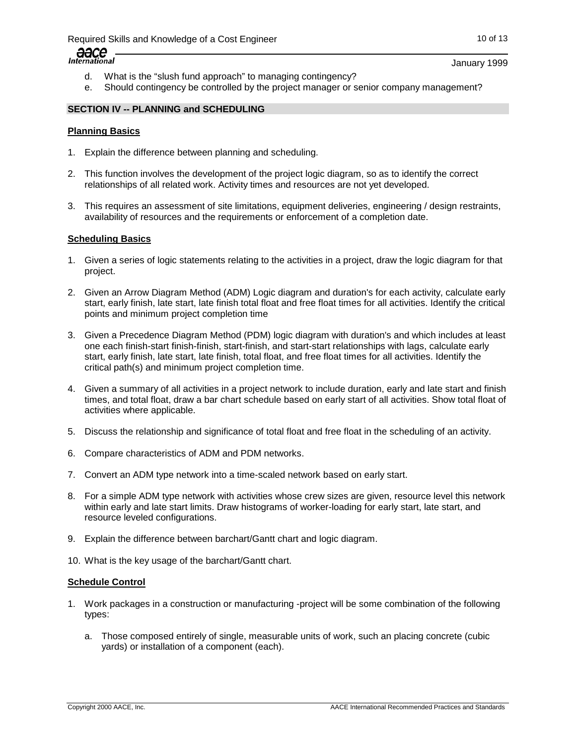

January 1999

- d. What is the "slush fund approach" to managing contingency?
- e. Should contingency be controlled by the project manager or senior company management?

## **SECTION IV -- PLANNING and SCHEDULING**

#### **Planning Basics**

- 1. Explain the difference between planning and scheduling.
- 2. This function involves the development of the project logic diagram, so as to identify the correct relationships of all related work. Activity times and resources are not yet developed.
- 3. This requires an assessment of site limitations, equipment deliveries, engineering / design restraints, availability of resources and the requirements or enforcement of a completion date.

#### **Scheduling Basics**

- 1. Given a series of logic statements relating to the activities in a project, draw the logic diagram for that project.
- 2. Given an Arrow Diagram Method (ADM) Logic diagram and duration's for each activity, calculate early start, early finish, late start, late finish total float and free float times for all activities. Identify the critical points and minimum project completion time
- 3. Given a Precedence Diagram Method (PDM) logic diagram with duration's and which includes at least one each finish-start finish-finish, start-finish, and start-start relationships with lags, calculate early start, early finish, late start, late finish, total float, and free float times for all activities. Identify the critical path(s) and minimum project completion time.
- 4. Given a summary of all activities in a project network to include duration, early and late start and finish times, and total float, draw a bar chart schedule based on early start of all activities. Show total float of activities where applicable.
- 5. Discuss the relationship and significance of total float and free float in the scheduling of an activity.
- 6. Compare characteristics of ADM and PDM networks.
- 7. Convert an ADM type network into a time-scaled network based on early start.
- 8. For a simple ADM type network with activities whose crew sizes are given, resource level this network within early and late start limits. Draw histograms of worker-loading for early start, late start, and resource leveled configurations.
- 9. Explain the difference between barchart/Gantt chart and logic diagram.
- 10. What is the key usage of the barchart/Gantt chart.

#### **Schedule Control**

- 1. Work packages in a construction or manufacturing -project will be some combination of the following types:
	- a. Those composed entirely of single, measurable units of work, such an placing concrete (cubic yards) or installation of a component (each).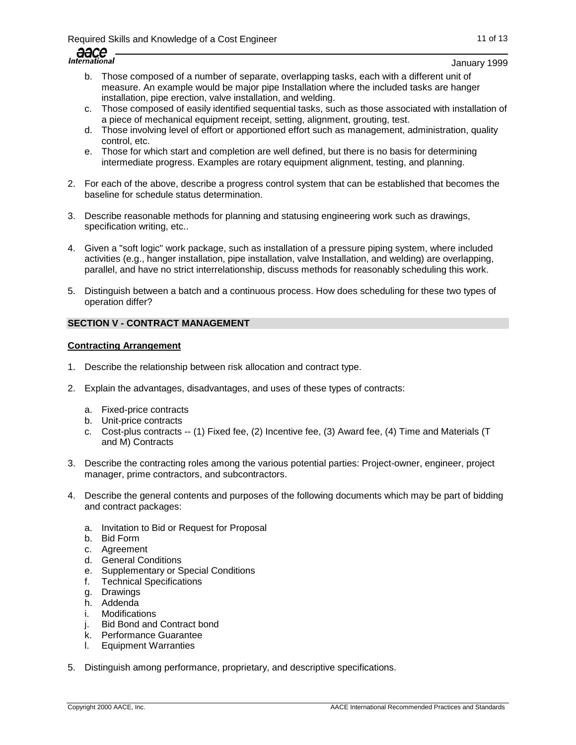| $\Delta$             |      |
|----------------------|------|
|                      | コロしし |
| <i>International</i> |      |
|                      |      |

January 1999

- b. Those composed of a number of separate, overlapping tasks, each with a different unit of measure. An example would be major pipe Installation where the included tasks are hanger installation, pipe erection, valve installation, and welding.
- c. Those composed of easily identified sequential tasks, such as those associated with installation of a piece of mechanical equipment receipt, setting, alignment, grouting, test.
- d. Those involving level of effort or apportioned effort such as management, administration, quality control, etc.
- e. Those for which start and completion are well defined, but there is no basis for determining intermediate progress. Examples are rotary equipment alignment, testing, and planning.
- 2. For each of the above, describe a progress control system that can be established that becomes the baseline for schedule status determination.
- 3. Describe reasonable methods for planning and statusing engineering work such as drawings, specification writing, etc..
- 4. Given a "soft logic" work package, such as installation of a pressure piping system, where included activities (e.g., hanger installation, pipe installation, valve Installation, and welding) are overlapping, parallel, and have no strict interrelationship, discuss methods for reasonably scheduling this work.
- 5. Distinguish between a batch and a continuous process. How does scheduling for these two types of operation differ?

# **SECTION V - CONTRACT MANAGEMENT**

## **Contracting Arrangement**

- 1. Describe the relationship between risk allocation and contract type.
- 2. Explain the advantages, disadvantages, and uses of these types of contracts:
	- a. Fixed-price contracts
	- b. Unit-price contracts
	- c. Cost-plus contracts -- (1) Fixed fee, (2) Incentive fee, (3) Award fee, (4) Time and Materials (T and M) Contracts
- 3. Describe the contracting roles among the various potential parties: Project-owner, engineer, project manager, prime contractors, and subcontractors.
- 4. Describe the general contents and purposes of the following documents which may be part of bidding and contract packages:
	- a. Invitation to Bid or Request for Proposal
	- b. Bid Form
	- c. Agreement
	- d. General Conditions
	- e. Supplementary or Special Conditions
	- f. Technical Specifications
	- g. Drawings
	- h. Addenda
	- i. Modifications
	- j. Bid Bond and Contract bond
	- k. Performance Guarantee
	- l. Equipment Warranties
- 5. Distinguish among performance, proprietary, and descriptive specifications.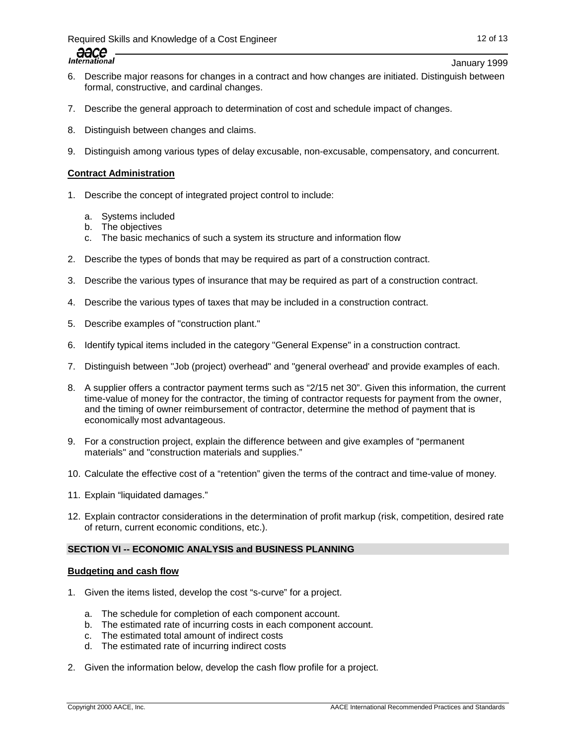Required Skills and Knowledge of a Cost Engineer 12 of 13 and 12 of 13

aace **International** 

January 1999

- 6. Describe major reasons for changes in a contract and how changes are initiated. Distinguish between formal, constructive, and cardinal changes.
- 7. Describe the general approach to determination of cost and schedule impact of changes.
- 8. Distinguish between changes and claims.
- 9. Distinguish among various types of delay excusable, non-excusable, compensatory, and concurrent.

## **Contract Administration**

- 1. Describe the concept of integrated project control to include:
	- a. Systems included
	- b. The objectives
	- c. The basic mechanics of such a system its structure and information flow
- 2. Describe the types of bonds that may be required as part of a construction contract.
- 3. Describe the various types of insurance that may be required as part of a construction contract.
- 4. Describe the various types of taxes that may be included in a construction contract.
- 5. Describe examples of "construction plant."
- 6. Identify typical items included in the category "General Expense" in a construction contract.
- 7. Distinguish between "Job (project) overhead" and "general overhead' and provide examples of each.
- 8. A supplier offers a contractor payment terms such as "2/15 net 30". Given this information, the current time-value of money for the contractor, the timing of contractor requests for payment from the owner, and the timing of owner reimbursement of contractor, determine the method of payment that is economically most advantageous.
- 9. For a construction project, explain the difference between and give examples of "permanent materials" and "construction materials and supplies."
- 10. Calculate the effective cost of a "retention" given the terms of the contract and time-value of money.
- 11. Explain "liquidated damages."
- 12. Explain contractor considerations in the determination of profit markup (risk, competition, desired rate of return, current economic conditions, etc.).

## **SECTION VI -- ECONOMIC ANALYSIS and BUSINESS PLANNING**

#### **Budgeting and cash flow**

- 1. Given the items listed, develop the cost "s-curve" for a project.
	- a. The schedule for completion of each component account.
	- b. The estimated rate of incurring costs in each component account.
	- c. The estimated total amount of indirect costs
	- d. The estimated rate of incurring indirect costs
- 2. Given the information below, develop the cash flow profile for a project.